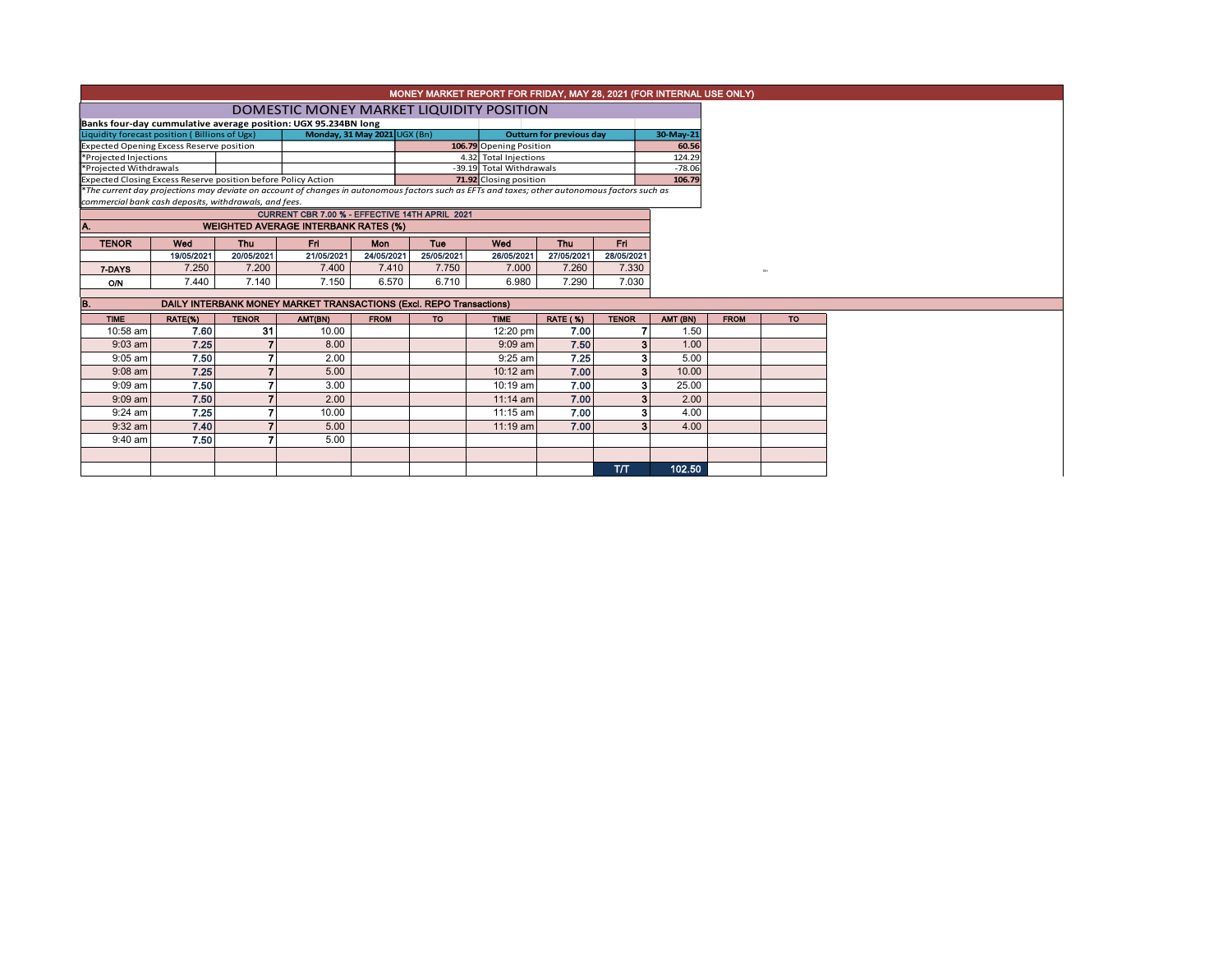|                                                                                                                                                                                                                                                                                                                                                                                                                                                                                                                                                                                                                                                                                                                                                                                                                                                                                                                                                                                                                                                                                                                                                                                                                                                                                       |      |  |      |                       |                        | MONEY MARKET REPORT FOR FRIDAY, MAY 28, 2021 (FOR INTERNAL USE ONLY) |                                 |              |           |             |           |
|---------------------------------------------------------------------------------------------------------------------------------------------------------------------------------------------------------------------------------------------------------------------------------------------------------------------------------------------------------------------------------------------------------------------------------------------------------------------------------------------------------------------------------------------------------------------------------------------------------------------------------------------------------------------------------------------------------------------------------------------------------------------------------------------------------------------------------------------------------------------------------------------------------------------------------------------------------------------------------------------------------------------------------------------------------------------------------------------------------------------------------------------------------------------------------------------------------------------------------------------------------------------------------------|------|--|------|-----------------------|------------------------|----------------------------------------------------------------------|---------------------------------|--------------|-----------|-------------|-----------|
|                                                                                                                                                                                                                                                                                                                                                                                                                                                                                                                                                                                                                                                                                                                                                                                                                                                                                                                                                                                                                                                                                                                                                                                                                                                                                       |      |  |      |                       |                        |                                                                      |                                 |              |           |             |           |
|                                                                                                                                                                                                                                                                                                                                                                                                                                                                                                                                                                                                                                                                                                                                                                                                                                                                                                                                                                                                                                                                                                                                                                                                                                                                                       |      |  |      |                       |                        |                                                                      |                                 |              |           |             |           |
|                                                                                                                                                                                                                                                                                                                                                                                                                                                                                                                                                                                                                                                                                                                                                                                                                                                                                                                                                                                                                                                                                                                                                                                                                                                                                       |      |  |      |                       |                        |                                                                      | <b>Outturn for previous day</b> |              | 30-May-21 |             |           |
|                                                                                                                                                                                                                                                                                                                                                                                                                                                                                                                                                                                                                                                                                                                                                                                                                                                                                                                                                                                                                                                                                                                                                                                                                                                                                       |      |  |      |                       |                        | 106.79 Opening Position                                              |                                 |              | 60.56     |             |           |
| DOMESTIC MONEY MARKET LIQUIDITY POSITION<br>Banks four-day cummulative average position: UGX 95.234BN long<br>Liquidity forecast position (Billions of Ugx)<br>Monday, 31 May 2021 UGX (Bn)<br><b>Expected Opening Excess Reserve position</b><br>*Projected Injections<br>*Projected Withdrawals<br>Expected Closing Excess Reserve position before Policy Action<br>*The current day projections may deviate on account of changes in autonomous factors such as EFTs and taxes; other autonomous factors such as<br>commercial bank cash deposits, withdrawals, and fees.<br>CURRENT CBR 7.00 % - EFFECTIVE 14TH APRIL 2021<br><b>WEIGHTED AVERAGE INTERBANK RATES (%)</b><br>Wed<br><b>Fri</b><br><b>TENOR</b><br><b>Thu</b><br>Mon<br>20/05/2021<br>24/05/2021<br>19/05/2021<br>21/05/2021<br>7.200<br>7.410<br>7.250<br>7.400<br>7 DAYS<br>7.140<br>6.570<br>7.440<br>7.150<br><b>O/N</b><br>DAILY INTERBANK MONEY MARKET TRANSACTIONS (Excl. REPO Transactions)<br>RATE(%)<br>AMT(BN)<br><b>FROM</b><br><b>TIME</b><br><b>TENOR</b><br>10:58 am<br>31<br>7.60<br>10.00<br>7.25<br>$9:03$ am<br>8.00<br>7.50<br>2.00<br>$9:05$ am<br>7.25<br>$9:08$ am<br>5.00<br>7.50<br>$9:09$ am<br>3.00<br>7.50<br>$9:09$ am<br>2.00<br>7.25<br>10.00<br>9:24 am<br>7.40<br>9:32 am<br>5.00 |      |  |      | 4.32 Total Injections |                        |                                                                      | 124.29<br>$-78.06$              |              |           |             |           |
|                                                                                                                                                                                                                                                                                                                                                                                                                                                                                                                                                                                                                                                                                                                                                                                                                                                                                                                                                                                                                                                                                                                                                                                                                                                                                       |      |  |      |                       |                        |                                                                      | -39.19 Total Withdrawals        |              |           |             |           |
|                                                                                                                                                                                                                                                                                                                                                                                                                                                                                                                                                                                                                                                                                                                                                                                                                                                                                                                                                                                                                                                                                                                                                                                                                                                                                       |      |  |      |                       | 71.92 Closing position |                                                                      |                                 | 106.79       |           |             |           |
|                                                                                                                                                                                                                                                                                                                                                                                                                                                                                                                                                                                                                                                                                                                                                                                                                                                                                                                                                                                                                                                                                                                                                                                                                                                                                       |      |  |      |                       |                        |                                                                      |                                 |              |           |             |           |
|                                                                                                                                                                                                                                                                                                                                                                                                                                                                                                                                                                                                                                                                                                                                                                                                                                                                                                                                                                                                                                                                                                                                                                                                                                                                                       |      |  |      |                       |                        |                                                                      |                                 |              |           |             |           |
|                                                                                                                                                                                                                                                                                                                                                                                                                                                                                                                                                                                                                                                                                                                                                                                                                                                                                                                                                                                                                                                                                                                                                                                                                                                                                       |      |  |      |                       |                        |                                                                      |                                 |              |           |             |           |
|                                                                                                                                                                                                                                                                                                                                                                                                                                                                                                                                                                                                                                                                                                                                                                                                                                                                                                                                                                                                                                                                                                                                                                                                                                                                                       |      |  |      |                       |                        |                                                                      |                                 |              |           |             |           |
|                                                                                                                                                                                                                                                                                                                                                                                                                                                                                                                                                                                                                                                                                                                                                                                                                                                                                                                                                                                                                                                                                                                                                                                                                                                                                       |      |  |      |                       | <b>Tue</b>             | Wed                                                                  | <b>Thu</b>                      | Fri.         |           |             |           |
|                                                                                                                                                                                                                                                                                                                                                                                                                                                                                                                                                                                                                                                                                                                                                                                                                                                                                                                                                                                                                                                                                                                                                                                                                                                                                       |      |  |      |                       | 25/05/2021             | 26/05/2021                                                           | 27/05/2021                      | 28/05/2021   |           |             |           |
|                                                                                                                                                                                                                                                                                                                                                                                                                                                                                                                                                                                                                                                                                                                                                                                                                                                                                                                                                                                                                                                                                                                                                                                                                                                                                       |      |  |      |                       | 7.750                  | 7.000                                                                | 7.260                           | 7.330        |           |             | 354       |
|                                                                                                                                                                                                                                                                                                                                                                                                                                                                                                                                                                                                                                                                                                                                                                                                                                                                                                                                                                                                                                                                                                                                                                                                                                                                                       |      |  |      |                       | 6.710                  | 6.980                                                                | 7.290                           | 7.030        |           |             |           |
|                                                                                                                                                                                                                                                                                                                                                                                                                                                                                                                                                                                                                                                                                                                                                                                                                                                                                                                                                                                                                                                                                                                                                                                                                                                                                       |      |  |      |                       |                        |                                                                      |                                 |              |           |             |           |
|                                                                                                                                                                                                                                                                                                                                                                                                                                                                                                                                                                                                                                                                                                                                                                                                                                                                                                                                                                                                                                                                                                                                                                                                                                                                                       |      |  |      |                       |                        |                                                                      |                                 |              |           |             |           |
|                                                                                                                                                                                                                                                                                                                                                                                                                                                                                                                                                                                                                                                                                                                                                                                                                                                                                                                                                                                                                                                                                                                                                                                                                                                                                       |      |  |      |                       | <b>TO</b>              | <b>TIME</b>                                                          | <b>RATE (%)</b>                 | <b>TENOR</b> | AMT (BN)  | <b>FROM</b> | <b>TO</b> |
|                                                                                                                                                                                                                                                                                                                                                                                                                                                                                                                                                                                                                                                                                                                                                                                                                                                                                                                                                                                                                                                                                                                                                                                                                                                                                       |      |  |      |                       |                        | 12:20 pm                                                             | 7.00                            |              | 1.50      |             |           |
|                                                                                                                                                                                                                                                                                                                                                                                                                                                                                                                                                                                                                                                                                                                                                                                                                                                                                                                                                                                                                                                                                                                                                                                                                                                                                       |      |  |      |                       |                        | $9:09$ am                                                            | 7.50                            |              | 1.00      |             |           |
|                                                                                                                                                                                                                                                                                                                                                                                                                                                                                                                                                                                                                                                                                                                                                                                                                                                                                                                                                                                                                                                                                                                                                                                                                                                                                       |      |  |      |                       |                        | $9:25$ am                                                            | 7.25                            |              | 5.00      |             |           |
|                                                                                                                                                                                                                                                                                                                                                                                                                                                                                                                                                                                                                                                                                                                                                                                                                                                                                                                                                                                                                                                                                                                                                                                                                                                                                       |      |  |      |                       |                        | 10:12 am                                                             | 7.00                            |              | 10.00     |             |           |
|                                                                                                                                                                                                                                                                                                                                                                                                                                                                                                                                                                                                                                                                                                                                                                                                                                                                                                                                                                                                                                                                                                                                                                                                                                                                                       |      |  |      |                       |                        | 10:19 am                                                             | 7.00                            |              | 25.00     |             |           |
|                                                                                                                                                                                                                                                                                                                                                                                                                                                                                                                                                                                                                                                                                                                                                                                                                                                                                                                                                                                                                                                                                                                                                                                                                                                                                       |      |  |      |                       |                        | $11:14$ am                                                           | 7.00                            |              | 2.00      |             |           |
|                                                                                                                                                                                                                                                                                                                                                                                                                                                                                                                                                                                                                                                                                                                                                                                                                                                                                                                                                                                                                                                                                                                                                                                                                                                                                       |      |  |      |                       |                        | 11:15 am                                                             | 7.00                            |              | 4.00      |             |           |
|                                                                                                                                                                                                                                                                                                                                                                                                                                                                                                                                                                                                                                                                                                                                                                                                                                                                                                                                                                                                                                                                                                                                                                                                                                                                                       |      |  |      |                       |                        | $11:19$ am                                                           | 7.00                            |              | 4.00      |             |           |
| $9:40$ am                                                                                                                                                                                                                                                                                                                                                                                                                                                                                                                                                                                                                                                                                                                                                                                                                                                                                                                                                                                                                                                                                                                                                                                                                                                                             | 7.50 |  | 5.00 |                       |                        |                                                                      |                                 |              |           |             |           |
|                                                                                                                                                                                                                                                                                                                                                                                                                                                                                                                                                                                                                                                                                                                                                                                                                                                                                                                                                                                                                                                                                                                                                                                                                                                                                       |      |  |      |                       |                        |                                                                      |                                 |              |           |             |           |
|                                                                                                                                                                                                                                                                                                                                                                                                                                                                                                                                                                                                                                                                                                                                                                                                                                                                                                                                                                                                                                                                                                                                                                                                                                                                                       |      |  |      |                       |                        |                                                                      |                                 |              |           |             |           |
|                                                                                                                                                                                                                                                                                                                                                                                                                                                                                                                                                                                                                                                                                                                                                                                                                                                                                                                                                                                                                                                                                                                                                                                                                                                                                       |      |  |      |                       |                        |                                                                      |                                 | T/T          | 102.50    |             |           |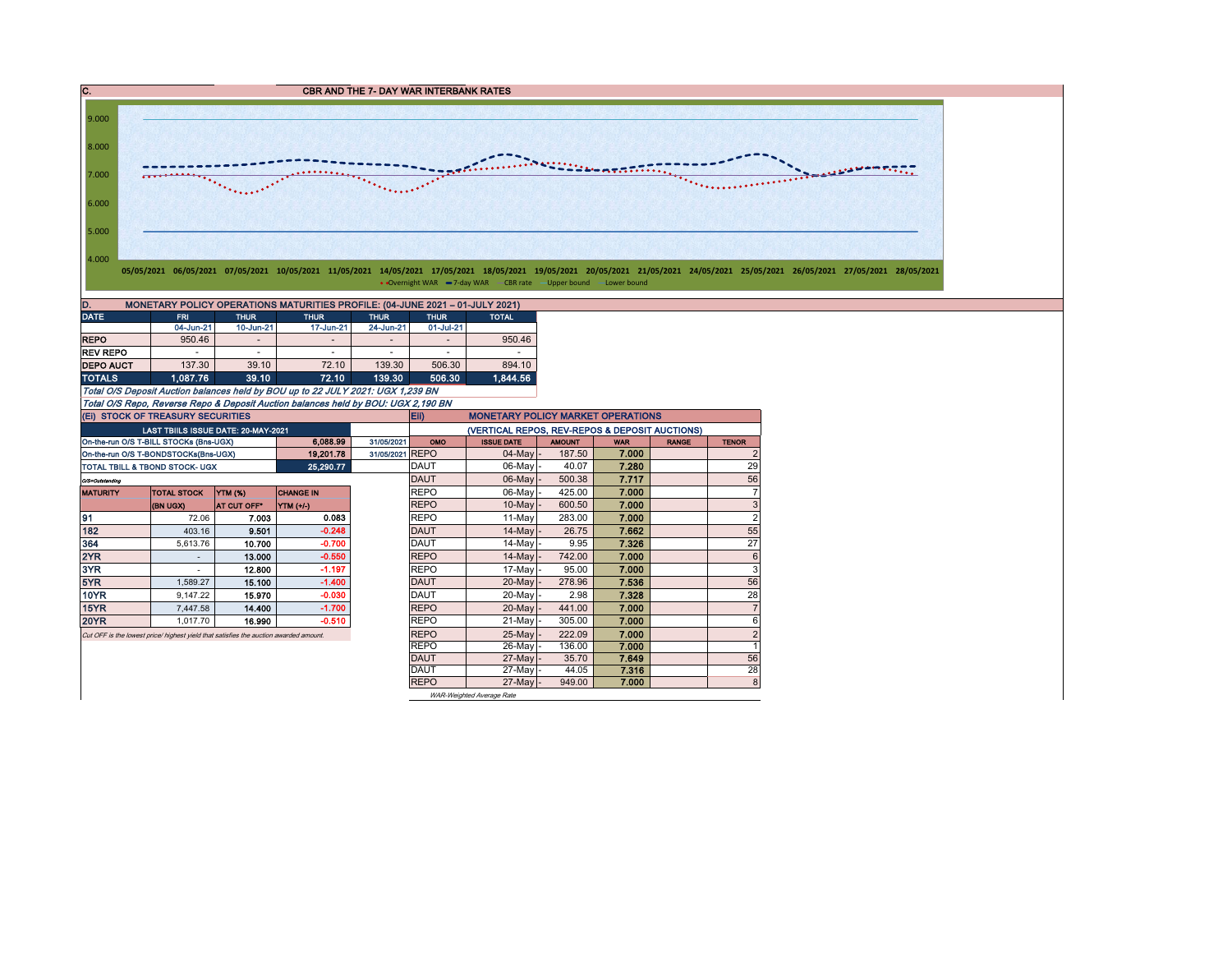C. CBR AND THE 7- DAY WAR INTERBANK RATES 9.000 8.000 7.000 <u> Albanyola alba</u>  $1.11$  $\mathcal{L}^{\text{in}}$  , and  $\mathcal{L}^{\text{out}}$ 6.000 5.000 4.000 05/05/2021 06/05/2021 07/05/2021 10/05/2021 11/05/2021 14/05/2021 17/05/2021 18/05/2021 19/05/2021 20/05/2021 21/05/2021 24/05/2021 25/05/2021 25/05/2021 27/05/2021 28/05/2021 • Overnight WAR -7-day WAR - CBR rate - Upper bound -Lower bound D. MONETARY POLICY OPERATIONS MATURITIES PROFILE: (04-JUNE 2021 – 01-JULY 2021) DATE FRI THUR THUR THUR THUR TOTAL

| <b>IDATE</b>     | FRI       | <b>THUR</b> | THUR .                                                                          | <b>THUR</b>                  | <b>THUR</b>              | <b>TOTAL</b> |  |
|------------------|-----------|-------------|---------------------------------------------------------------------------------|------------------------------|--------------------------|--------------|--|
|                  | 04-Jun-21 | 10-Jun-21   | 17-Jun-21                                                                       | 24-Jun-21                    | 01-Jul-21                |              |  |
| <b>REPO</b>      | 950.46    | -           | -                                                                               | $\qquad \qquad \blacksquare$ | $\overline{\phantom{a}}$ | 950.46       |  |
| <b>REV REPO</b>  | ۰         | -           | ۰                                                                               | $\,$                         | $\overline{\phantom{a}}$ | -            |  |
| <b>DEPO AUCT</b> | 137.30    | 39.10       | 72.10                                                                           | 139.30                       | 506.30                   | 894.10       |  |
| <b>TOTALS</b>    | 1.087.76  | 39.10       | 72.10                                                                           | 139.30                       | 506.30                   | 1.844.56     |  |
|                  |           |             | Total O/S Deposit Auction balances held by BOU up to 22 JULY 2021: UGX 1,239 BN |                              |                          |              |  |

Total O/S Repo, Reverse Repo & Deposit Auction balances held by BOU: UGX 2,190 BN

|                                                   | (EI) STOCK OF TREASURY SECURITIES                                                     |             |                  |            | Eii)<br><b>MONETARY POLICY MARKET OPERATIONS</b> |                                                |               |            |              |                 |  |  |  |  |
|---------------------------------------------------|---------------------------------------------------------------------------------------|-------------|------------------|------------|--------------------------------------------------|------------------------------------------------|---------------|------------|--------------|-----------------|--|--|--|--|
|                                                   | LAST TBIILS ISSUE DATE: 20-MAY-2021                                                   |             |                  |            |                                                  | (VERTICAL REPOS, REV-REPOS & DEPOSIT AUCTIONS) |               |            |              |                 |  |  |  |  |
|                                                   | On-the-run O/S T-BILL STOCKs (Bns-UGX)                                                |             | 6,088.99         | 31/05/2021 | OMO                                              | <b>ISSUE DATE</b>                              | <b>AMOUNT</b> | <b>WAR</b> | <b>RANGE</b> | <b>TENOR</b>    |  |  |  |  |
| 19,201.78<br>On-the-run O/S T-BONDSTOCKs(Bns-UGX) |                                                                                       |             |                  |            | <b>REPO</b><br>31/05/2021                        | 04-May                                         | 187.50        | 7.000      |              | 2               |  |  |  |  |
|                                                   | <b>TOTAL TBILL &amp; TBOND STOCK- UGX</b>                                             |             | 25,290.77        |            | <b>DAUT</b>                                      | 06-May -                                       | 40.07         | 7.280      |              | 29              |  |  |  |  |
| O/S=Outstanding                                   |                                                                                       |             |                  |            | <b>DAUT</b>                                      | $06$ -May                                      | 500.38        | 7.717      |              | 56              |  |  |  |  |
| <b>MATURITY</b>                                   | <b>TOTAL STOCK</b><br><b>YTM (%)</b>                                                  |             | <b>CHANGE IN</b> |            | <b>REPO</b>                                      | $06$ -May $\vert$ -                            | 425.00        | 7.000      |              | $\overline{7}$  |  |  |  |  |
|                                                   | (BN UGX)                                                                              | AT CUT OFF* | <b>YTM (+/-)</b> |            | <b>REPO</b>                                      | $10$ -May $-$                                  | 600.50        | 7.000      |              | 3               |  |  |  |  |
| 91                                                | 72.06                                                                                 | 7.003       | 0.083            |            | <b>REPO</b>                                      | 11-May                                         | 283.00        | 7.000      |              | $\overline{2}$  |  |  |  |  |
| 182                                               | 403.16                                                                                | 9.501       | $-0.248$         |            | <b>DAUT</b>                                      | $14$ -May $-$                                  | 26.75         | 7.662      |              | 55              |  |  |  |  |
| 364                                               | 5.613.76                                                                              | 10.700      | $-0.700$         |            | <b>DAUT</b>                                      | $14$ -May $-$                                  | 9.95          | 7.326      |              | 27              |  |  |  |  |
| 2YR                                               |                                                                                       | 13.000      | $-0.550$         |            | <b>REPO</b>                                      | 14-May                                         | 742.00        | 7.000      |              | $6\phantom{1}6$ |  |  |  |  |
| 3YR                                               |                                                                                       | 12.800      | $-1.197$         |            | <b>REPO</b>                                      | 17-Mayl-                                       | 95.00         | 7.000      |              | 3               |  |  |  |  |
| 5YR                                               | 1.589.27                                                                              | 15.100      | $-1.400$         |            | <b>DAUT</b>                                      | 20-May                                         | 278.96        | 7.536      |              | 56              |  |  |  |  |
| <b>10YR</b>                                       | 9.147.22                                                                              | 15.970      | $-0.030$         |            | <b>DAUT</b>                                      | 20-May -                                       | 2.98          | 7.328      |              | 28              |  |  |  |  |
| 15YR                                              | 7.447.58                                                                              | 14.400      | $-1.700$         |            | <b>REPO</b>                                      | $20$ -May                                      | 441.00        | 7.000      |              | $\overline{7}$  |  |  |  |  |
| <b>20YR</b>                                       | 1.017.70                                                                              | 16.990      | $-0.510$         |            | <b>REPO</b>                                      | 21-May -                                       | 305.00        | 7.000      |              | 6               |  |  |  |  |
|                                                   | Cut OFF is the lowest price/ highest yield that satisfies the auction awarded amount. |             |                  |            | <b>REPO</b>                                      | 25-May                                         | 222.09        | 7.000      |              | $\overline{2}$  |  |  |  |  |
|                                                   |                                                                                       |             |                  |            | <b>REPO</b>                                      | 26-May -                                       | 136.00        | 7.000      |              | 1               |  |  |  |  |
|                                                   |                                                                                       |             |                  |            | <b>DAUT</b>                                      | 27-May -                                       | 35.70         | 7.649      |              | 56              |  |  |  |  |
|                                                   |                                                                                       |             |                  |            | <b>DAUT</b>                                      | 27-May -                                       | 44.05         | 7.316      |              | 28              |  |  |  |  |
|                                                   |                                                                                       |             |                  |            | <b>REPO</b>                                      | 27-Mayl-                                       | 949.00        | 7.000      |              | 8               |  |  |  |  |
|                                                   |                                                                                       |             |                  |            |                                                  | WAR-Weighted Average Rate                      |               |            |              |                 |  |  |  |  |